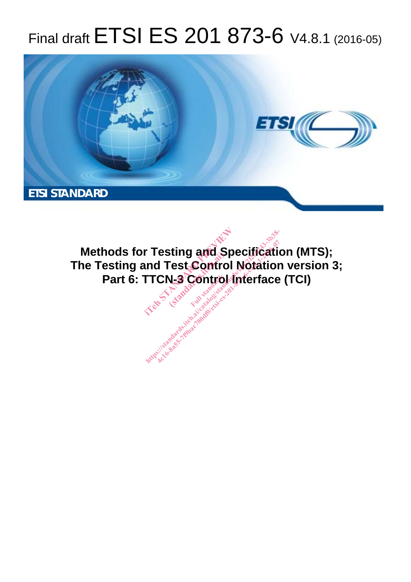## Final draft ETSI ES 201 873-6 V4.8.1 (2016-05)



**Methods for Testing and Specification (MTS); The Testing and Test Control Notation version 3; Part 6: TTCN-3 Control Interface (TCI) r Testing and Spectrum Test Control No.**<br>Ind Test Control No.<br>TTCN-3 Control International **Full standards.**<br>Fest Control<br>N-3 Control<br>Exp<sup>ress</sup> **http://web/2622-2010-07-2010-07-2010-07-2010-07-2010-07-2010-07-2010-07-2010-07-2010-07-2010-07-201**<br>Interface<br>And Control Interface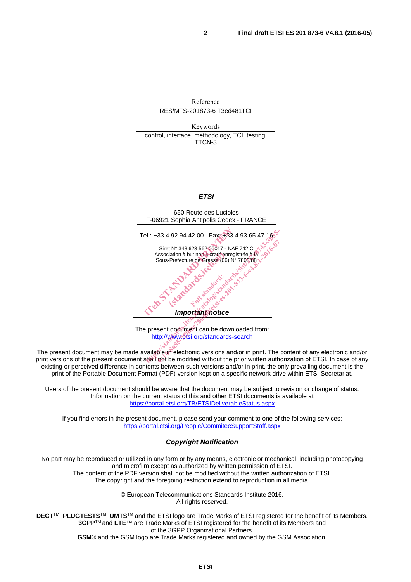Reference RES/MTS-201873-6 T3ed481TCI Keywords control, interface, methodology, TCI, testing, TTCN-3 *ETSI*  650 Route des Lucioles F-06921 Sophia Antipolis Cedex - FRANCE Tel.: +33 4 92 94 42 00 Fax: +33 4 93 65 47 16 Siret N° 348 623 562 00017 - NAF 742 C<br>Association à but non lucratif enregistrée à la Association à but non lucratif enregistrée à la Sous-Préfecture de Grasse (06) N° 7803/88 *Important notice*  The present document can be downloaded from: http://www.etsi.org/standards-search el.: +33 4 92 94 42 00 Fax: +33 4 93<br>
Siret N° 348 623 562 00017 - NAF 742<br>
Association à but non une registrée<br>
Sous-Préfecture de Grasse (06) N° 7803<br>
Sus-Préfecture de Grasse (06) N° 7803<br>
Composition de Critique de San iation à but non lucratif enr<br>Préfecture de Grassé (06)<br>Contra de Grassé (06)<br>Contra d'article standards.<br>Contra d'article standards. Context of declarage Multipular ps://www.etsi.org/standards-search<br>
Association à but non ducratif enregistrée à la  $\frac{3}{2}$ e sous-Préfecture de Grasse (06) N° 7803/88-1-2016<br>
Sous-Préfecture de Grasse (06) N° 7803/88-1-2016<br>
Active de Grass

The present document may be made available in electronic versions and/or in print. The content of any electronic and/or print versions of the present document shall not be modified without the prior written authorization of ETSI. In case of any existing or perceived difference in contents between such versions and/or in print, the only prevailing document is the print of the Portable Document Format (PDF) version kept on a specific network drive within ETSI Secretariat.

Users of the present document should be aware that the document may be subject to revision or change of status. Information on the current status of this and other ETSI documents is available at https://portal.etsi.org/TB/ETSIDeliverableStatus.aspx

If you find errors in the present document, please send your comment to one of the following services: https://portal.etsi.org/People/CommiteeSupportStaff.aspx

*Copyright Notification* 

No part may be reproduced or utilized in any form or by any means, electronic or mechanical, including photocopying and microfilm except as authorized by written permission of ETSI. The content of the PDF version shall not be modified without the written authorization of ETSI.

The copyright and the foregoing restriction extend to reproduction in all media.

© European Telecommunications Standards Institute 2016. All rights reserved.

**DECT**TM, **PLUGTESTS**TM, **UMTS**TM and the ETSI logo are Trade Marks of ETSI registered for the benefit of its Members. **3GPP**TM and **LTE**™ are Trade Marks of ETSI registered for the benefit of its Members and of the 3GPP Organizational Partners.

**GSM**® and the GSM logo are Trade Marks registered and owned by the GSM Association.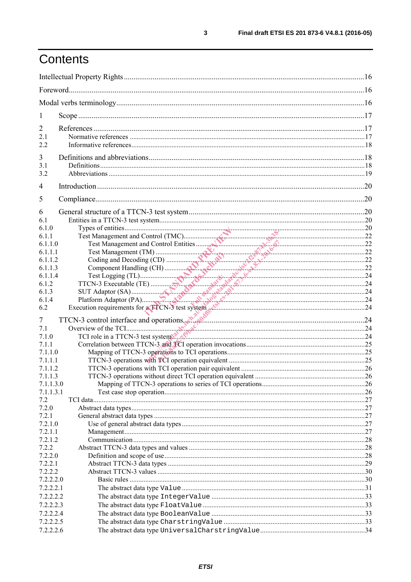## Contents

| 1                      |  |
|------------------------|--|
| 2                      |  |
| 2.1                    |  |
| 2.2                    |  |
|                        |  |
| 3<br>3.1               |  |
| 3.2                    |  |
|                        |  |
| 4                      |  |
| 5                      |  |
| 6                      |  |
| 6.1                    |  |
| 6.1.0                  |  |
| 6.1.1                  |  |
| 6.1.1.0                |  |
| 6.1.1.1                |  |
| 6.1.1.2<br>6.1.1.3     |  |
| 6.1.1.4                |  |
| 6.1.2                  |  |
| 6.1.3                  |  |
| 6.1.4                  |  |
| 6.2                    |  |
| 7                      |  |
| 7.1                    |  |
| 7.1.0                  |  |
| 7.1.1                  |  |
| 7.1.1.0                |  |
| 7.1.1.1                |  |
| 7.1.1.2                |  |
| 7.1.1.3                |  |
| 7.1.1.3.0<br>7.1.1.3.1 |  |
| 7.2                    |  |
| 7.2.0                  |  |
| 7.2.1                  |  |
| 7.2.1.0                |  |
| 7.2.1.1                |  |
| 7.2.1.2                |  |
| 7.2.2                  |  |
| 7.2.2.0                |  |
| 7.2.2.1                |  |
| 7.2.2.2<br>7.2.2.2.0   |  |
| 7.2.2.2.1              |  |
| 7.2.2.2.2              |  |
| 7.2.2.2.3              |  |
| 7.2.2.2.4              |  |
| 7.2.2.2.5              |  |
| 7.2.2.2.6              |  |
|                        |  |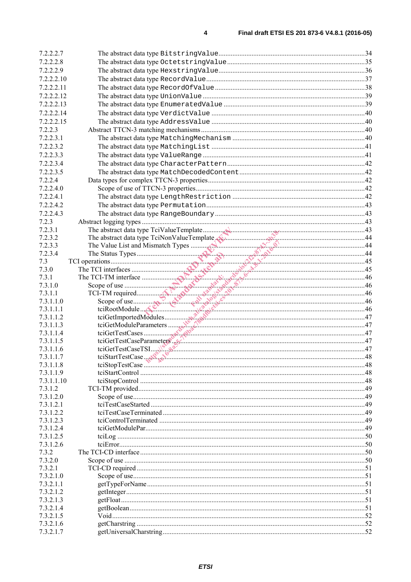| 7.2.2.2.7               |  |
|-------------------------|--|
| 7.2.2.2.8               |  |
| 7.2.2.2.9               |  |
| 7.2.2.2.10              |  |
| 7.2.2.2.11              |  |
| 7.2.2.2.12              |  |
| 7.2.2.2.13              |  |
|                         |  |
| 7.2.2.2.14              |  |
| 7.2.2.2.15              |  |
| 7.2.2.3                 |  |
| 7.2.2.3.1               |  |
| 7.2.2.3.2               |  |
| 7.2.2.3.3               |  |
| 7.2.2.3.4               |  |
| 7.2.2.3.5               |  |
| 7.2.2.4                 |  |
| 7.2.2.4.0               |  |
| 7.2.2.4.1               |  |
| 7.2.2.4.2               |  |
| 7.2.2.4.3               |  |
| 7.2.3                   |  |
| 7.2.3.1                 |  |
| 7.2.3.2                 |  |
| 7.2.3.3                 |  |
| 7.2.3.4                 |  |
| 7.3                     |  |
| 7.3.0                   |  |
| 7.3.1                   |  |
| 7.3.1.0                 |  |
| 7.3.1.1                 |  |
| 7.3.1.1.0               |  |
| 7.3.1.1.1               |  |
| 7.3.1.1.2               |  |
| 7.3.1.1.3               |  |
| 7.3.1.1.4               |  |
| 7.3.1.1.5               |  |
| 7.3.1.1.6               |  |
| 7.3.1.1.7               |  |
| 7.3.1.1.8               |  |
| 7.3.1.1.9<br>7.3.1.1.10 |  |
| 7.3.1.2                 |  |
| 7.3.1.2.0               |  |
| 7.3.1.2.1               |  |
| 7.3.1.2.2               |  |
| 7.3.1.2.3               |  |
| 7.3.1.2.4               |  |
| 7.3.1.2.5               |  |
| 7.3.1.2.6               |  |
| 7.3.2                   |  |
| 7.3.2.0                 |  |
| 7.3.2.1                 |  |
| 7.3.2.1.0               |  |
| 7.3.2.1.1               |  |
| 7.3.2.1.2               |  |
| 7.3.2.1.3               |  |
| 7.3.2.1.4               |  |
| 7.3.2.1.5               |  |
| 7.3.2.1.6               |  |
|                         |  |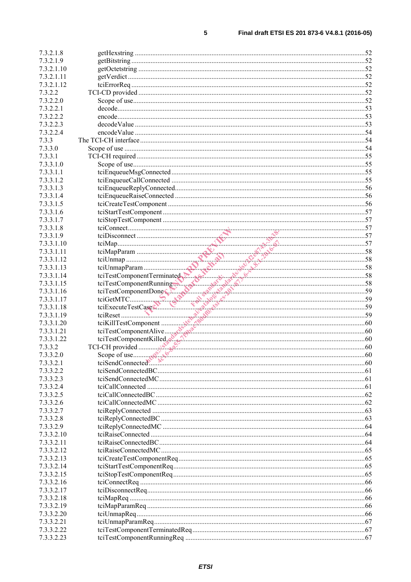| 7.3.2.1.8  |                                                                                                                                                                                                                                                        |  |
|------------|--------------------------------------------------------------------------------------------------------------------------------------------------------------------------------------------------------------------------------------------------------|--|
| 7.3.2.1.9  |                                                                                                                                                                                                                                                        |  |
| 7.3.2.1.10 |                                                                                                                                                                                                                                                        |  |
| 7.3.2.1.11 |                                                                                                                                                                                                                                                        |  |
| 7.3.2.1.12 |                                                                                                                                                                                                                                                        |  |
| 7.3.2.2    |                                                                                                                                                                                                                                                        |  |
| 7.3.2.2.0  |                                                                                                                                                                                                                                                        |  |
| 7.3.2.2.1  |                                                                                                                                                                                                                                                        |  |
| 7.3.2.2.2  |                                                                                                                                                                                                                                                        |  |
| 7.3.2.2.3  |                                                                                                                                                                                                                                                        |  |
| 7.3.2.2.4  |                                                                                                                                                                                                                                                        |  |
| 7.3.3      |                                                                                                                                                                                                                                                        |  |
| 7.3.3.0    |                                                                                                                                                                                                                                                        |  |
| 7.3.3.1    |                                                                                                                                                                                                                                                        |  |
| 7.3.3.1.0  |                                                                                                                                                                                                                                                        |  |
| 7.3.3.1.1  |                                                                                                                                                                                                                                                        |  |
| 7.3.3.1.2  |                                                                                                                                                                                                                                                        |  |
| 7.3.3.1.3  |                                                                                                                                                                                                                                                        |  |
| 7.3.3.1.4  |                                                                                                                                                                                                                                                        |  |
| 7.3.3.1.5  |                                                                                                                                                                                                                                                        |  |
| 7.3.3.1.6  |                                                                                                                                                                                                                                                        |  |
| 7.3.3.1.7  |                                                                                                                                                                                                                                                        |  |
| 7.3.3.1.8  |                                                                                                                                                                                                                                                        |  |
| 7.3.3.1.9  |                                                                                                                                                                                                                                                        |  |
| 7.3.3.1.10 |                                                                                                                                                                                                                                                        |  |
| 7.3.3.1.11 |                                                                                                                                                                                                                                                        |  |
| 7.3.3.1.12 |                                                                                                                                                                                                                                                        |  |
| 7.3.3.1.13 |                                                                                                                                                                                                                                                        |  |
| 7.3.3.1.14 |                                                                                                                                                                                                                                                        |  |
| 7.3.3.1.15 | tciStopTestComponent<br>tciDisconnect<br>tciDisconnect<br>tciMapParam<br>tciDisconnect<br>tciMapParam<br>tciDisconnect<br>tciMapParam<br>tciTharpParam<br>tciTestComponentRunning<br>tciTestComponentRunning<br>tciTestComponentLilled<br>tciExecuteTe |  |
| 7.3.3.1.16 |                                                                                                                                                                                                                                                        |  |
| 7.3.3.1.17 |                                                                                                                                                                                                                                                        |  |
| 7.3.3.1.18 |                                                                                                                                                                                                                                                        |  |
| 7.3.3.1.19 |                                                                                                                                                                                                                                                        |  |
| 7.3.3.1.20 |                                                                                                                                                                                                                                                        |  |
| 7.3.3.1.21 |                                                                                                                                                                                                                                                        |  |
| 7.3.3.1.22 |                                                                                                                                                                                                                                                        |  |
| 7.3.3.2    |                                                                                                                                                                                                                                                        |  |
| 7.3.3.2.0  |                                                                                                                                                                                                                                                        |  |
| 7.3.3.2.1  |                                                                                                                                                                                                                                                        |  |
| 7.3.3.2.2  |                                                                                                                                                                                                                                                        |  |
| 7.3.3.2.3  |                                                                                                                                                                                                                                                        |  |
| 7.3.3.2.4  |                                                                                                                                                                                                                                                        |  |
| 7.3.3.2.5  |                                                                                                                                                                                                                                                        |  |
| 7.3.3.2.6  |                                                                                                                                                                                                                                                        |  |
| 7.3.3.2.7  |                                                                                                                                                                                                                                                        |  |
| 7.3.3.2.8  |                                                                                                                                                                                                                                                        |  |
| 7.3.3.2.9  |                                                                                                                                                                                                                                                        |  |
| 7.3.3.2.10 |                                                                                                                                                                                                                                                        |  |
| 7.3.3.2.11 |                                                                                                                                                                                                                                                        |  |
| 7.3.3.2.12 |                                                                                                                                                                                                                                                        |  |
| 7.3.3.2.13 |                                                                                                                                                                                                                                                        |  |
| 7.3.3.2.14 |                                                                                                                                                                                                                                                        |  |
| 7.3.3.2.15 |                                                                                                                                                                                                                                                        |  |
| 7.3.3.2.16 |                                                                                                                                                                                                                                                        |  |
| 7.3.3.2.17 |                                                                                                                                                                                                                                                        |  |
| 7.3.3.2.18 |                                                                                                                                                                                                                                                        |  |
| 7.3.3.2.19 |                                                                                                                                                                                                                                                        |  |
| 7.3.3.2.20 |                                                                                                                                                                                                                                                        |  |
| 7.3.3.2.21 |                                                                                                                                                                                                                                                        |  |
| 7.3.3.2.22 |                                                                                                                                                                                                                                                        |  |
| 7.3.3.2.23 |                                                                                                                                                                                                                                                        |  |
|            |                                                                                                                                                                                                                                                        |  |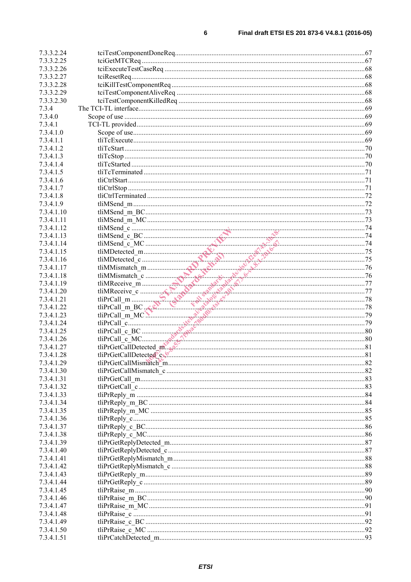| 7.3.3.2.24 |                                                                                                                                                                                                                                                                                                                                                                                                                                                |     |
|------------|------------------------------------------------------------------------------------------------------------------------------------------------------------------------------------------------------------------------------------------------------------------------------------------------------------------------------------------------------------------------------------------------------------------------------------------------|-----|
|            |                                                                                                                                                                                                                                                                                                                                                                                                                                                |     |
| 7.3.3.2.25 |                                                                                                                                                                                                                                                                                                                                                                                                                                                |     |
| 7.3.3.2.26 |                                                                                                                                                                                                                                                                                                                                                                                                                                                |     |
| 7.3.3.2.27 |                                                                                                                                                                                                                                                                                                                                                                                                                                                |     |
|            |                                                                                                                                                                                                                                                                                                                                                                                                                                                |     |
| 7.3.3.2.28 |                                                                                                                                                                                                                                                                                                                                                                                                                                                |     |
| 7.3.3.2.29 |                                                                                                                                                                                                                                                                                                                                                                                                                                                |     |
|            |                                                                                                                                                                                                                                                                                                                                                                                                                                                |     |
| 7.3.3.2.30 |                                                                                                                                                                                                                                                                                                                                                                                                                                                |     |
| 7.3.4      |                                                                                                                                                                                                                                                                                                                                                                                                                                                |     |
|            |                                                                                                                                                                                                                                                                                                                                                                                                                                                |     |
| 7.3.4.0    |                                                                                                                                                                                                                                                                                                                                                                                                                                                |     |
| 7.3.4.1    |                                                                                                                                                                                                                                                                                                                                                                                                                                                |     |
| 7.3.4.1.0  |                                                                                                                                                                                                                                                                                                                                                                                                                                                |     |
|            |                                                                                                                                                                                                                                                                                                                                                                                                                                                |     |
| 7.3.4.1.1  |                                                                                                                                                                                                                                                                                                                                                                                                                                                |     |
| 7.3.4.1.2  |                                                                                                                                                                                                                                                                                                                                                                                                                                                |     |
|            |                                                                                                                                                                                                                                                                                                                                                                                                                                                |     |
| 7.3.4.1.3  |                                                                                                                                                                                                                                                                                                                                                                                                                                                |     |
| 7.3.4.1.4  |                                                                                                                                                                                                                                                                                                                                                                                                                                                |     |
|            |                                                                                                                                                                                                                                                                                                                                                                                                                                                |     |
| 7.3.4.1.5  |                                                                                                                                                                                                                                                                                                                                                                                                                                                |     |
| 7.3.4.1.6  |                                                                                                                                                                                                                                                                                                                                                                                                                                                |     |
| 7.3.4.1.7  |                                                                                                                                                                                                                                                                                                                                                                                                                                                |     |
|            |                                                                                                                                                                                                                                                                                                                                                                                                                                                |     |
| 7.3.4.1.8  |                                                                                                                                                                                                                                                                                                                                                                                                                                                |     |
| 7.3.4.1.9  |                                                                                                                                                                                                                                                                                                                                                                                                                                                |     |
|            |                                                                                                                                                                                                                                                                                                                                                                                                                                                |     |
| 7.3.4.1.10 |                                                                                                                                                                                                                                                                                                                                                                                                                                                |     |
| 7.3.4.1.11 |                                                                                                                                                                                                                                                                                                                                                                                                                                                |     |
|            |                                                                                                                                                                                                                                                                                                                                                                                                                                                |     |
| 7.3.4.1.12 |                                                                                                                                                                                                                                                                                                                                                                                                                                                |     |
| 7.3.4.1.13 |                                                                                                                                                                                                                                                                                                                                                                                                                                                |     |
|            |                                                                                                                                                                                                                                                                                                                                                                                                                                                |     |
| 7.3.4.1.14 |                                                                                                                                                                                                                                                                                                                                                                                                                                                |     |
| 7.3.4.1.15 |                                                                                                                                                                                                                                                                                                                                                                                                                                                |     |
| 7.3.4.1.16 |                                                                                                                                                                                                                                                                                                                                                                                                                                                |     |
|            |                                                                                                                                                                                                                                                                                                                                                                                                                                                |     |
| 7.3.4.1.17 |                                                                                                                                                                                                                                                                                                                                                                                                                                                |     |
| 7.3.4.1.18 |                                                                                                                                                                                                                                                                                                                                                                                                                                                |     |
|            |                                                                                                                                                                                                                                                                                                                                                                                                                                                |     |
| 7.3.4.1.19 |                                                                                                                                                                                                                                                                                                                                                                                                                                                |     |
| 7.3.4.1.20 |                                                                                                                                                                                                                                                                                                                                                                                                                                                |     |
|            | $\begin{tabular}{ c c c c } \hline \text{tilMSend\_m.MC} & \text{f1} \\ \hline \text{tilMSend\_c\_BC} & \text{HUCM-174} \\ \hline \text{tilMMed\_c\_MC} & \text{f2} \\ \hline \text{tilMIMBismnach\_m} & \text{f3} \\ \hline \text{tilMIMBismnach\_m} & \text{f4} \\ \hline \text{tilMIMBismnach\_m} & \text{f5} \\ \hline \text{tilMIMBismnach\_m} & \text{f6} \\ \hline \text{tilMIMBismnach\_m} & \text{f8} \\ \hline \text{tilMIMBismnach$ |     |
| 7.3.4.1.21 |                                                                                                                                                                                                                                                                                                                                                                                                                                                |     |
| 7.3.4.1.22 |                                                                                                                                                                                                                                                                                                                                                                                                                                                |     |
| 7.3.4.1.23 |                                                                                                                                                                                                                                                                                                                                                                                                                                                |     |
|            |                                                                                                                                                                                                                                                                                                                                                                                                                                                |     |
| 7.3.4.1.24 |                                                                                                                                                                                                                                                                                                                                                                                                                                                |     |
| 7.3.4.1.25 |                                                                                                                                                                                                                                                                                                                                                                                                                                                |     |
|            |                                                                                                                                                                                                                                                                                                                                                                                                                                                |     |
| 7.3.4.1.26 |                                                                                                                                                                                                                                                                                                                                                                                                                                                |     |
| 7.3.4.1.27 |                                                                                                                                                                                                                                                                                                                                                                                                                                                |     |
| 7.3.4.1.28 | tliPrGetCallDetected <sup>®</sup> c                                                                                                                                                                                                                                                                                                                                                                                                            | .81 |
|            |                                                                                                                                                                                                                                                                                                                                                                                                                                                |     |
| 7.3.4.1.29 |                                                                                                                                                                                                                                                                                                                                                                                                                                                |     |
| 7.3.4.1.30 |                                                                                                                                                                                                                                                                                                                                                                                                                                                |     |
|            |                                                                                                                                                                                                                                                                                                                                                                                                                                                |     |
| 7.3.4.1.31 |                                                                                                                                                                                                                                                                                                                                                                                                                                                |     |
| 7.3.4.1.32 |                                                                                                                                                                                                                                                                                                                                                                                                                                                |     |
| 7.3.4.1.33 |                                                                                                                                                                                                                                                                                                                                                                                                                                                |     |
|            |                                                                                                                                                                                                                                                                                                                                                                                                                                                |     |
| 7.3.4.1.34 |                                                                                                                                                                                                                                                                                                                                                                                                                                                |     |
| 7.3.4.1.35 |                                                                                                                                                                                                                                                                                                                                                                                                                                                |     |
|            |                                                                                                                                                                                                                                                                                                                                                                                                                                                |     |
| 7.3.4.1.36 |                                                                                                                                                                                                                                                                                                                                                                                                                                                |     |
| 7.3.4.1.37 |                                                                                                                                                                                                                                                                                                                                                                                                                                                |     |
|            |                                                                                                                                                                                                                                                                                                                                                                                                                                                |     |
| 7.3.4.1.38 |                                                                                                                                                                                                                                                                                                                                                                                                                                                |     |
| 7.3.4.1.39 |                                                                                                                                                                                                                                                                                                                                                                                                                                                |     |
| 7.3.4.1.40 |                                                                                                                                                                                                                                                                                                                                                                                                                                                |     |
|            |                                                                                                                                                                                                                                                                                                                                                                                                                                                |     |
| 7.3.4.1.41 |                                                                                                                                                                                                                                                                                                                                                                                                                                                |     |
| 7.3.4.1.42 |                                                                                                                                                                                                                                                                                                                                                                                                                                                |     |
|            |                                                                                                                                                                                                                                                                                                                                                                                                                                                |     |
| 7.3.4.1.43 |                                                                                                                                                                                                                                                                                                                                                                                                                                                |     |
| 7.3.4.1.44 |                                                                                                                                                                                                                                                                                                                                                                                                                                                |     |
|            |                                                                                                                                                                                                                                                                                                                                                                                                                                                |     |
| 7.3.4.1.45 |                                                                                                                                                                                                                                                                                                                                                                                                                                                |     |
| 7.3.4.1.46 |                                                                                                                                                                                                                                                                                                                                                                                                                                                |     |
|            |                                                                                                                                                                                                                                                                                                                                                                                                                                                |     |
|            |                                                                                                                                                                                                                                                                                                                                                                                                                                                |     |
| 7.3.4.1.47 |                                                                                                                                                                                                                                                                                                                                                                                                                                                |     |
| 7.3.4.1.48 |                                                                                                                                                                                                                                                                                                                                                                                                                                                |     |
| 7.3.4.1.49 |                                                                                                                                                                                                                                                                                                                                                                                                                                                |     |
|            |                                                                                                                                                                                                                                                                                                                                                                                                                                                |     |
| 7.3.4.1.50 |                                                                                                                                                                                                                                                                                                                                                                                                                                                |     |
| 7.3.4.1.51 |                                                                                                                                                                                                                                                                                                                                                                                                                                                |     |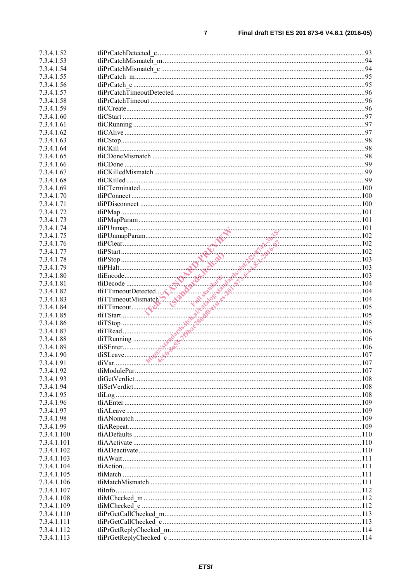| 7.3.4.1.52  |                                                                                                                                                                                                                                                                                                                                                                                                               |  |
|-------------|---------------------------------------------------------------------------------------------------------------------------------------------------------------------------------------------------------------------------------------------------------------------------------------------------------------------------------------------------------------------------------------------------------------|--|
| 7.3.4.1.53  |                                                                                                                                                                                                                                                                                                                                                                                                               |  |
| 7.3.4.1.54  |                                                                                                                                                                                                                                                                                                                                                                                                               |  |
| 7.3.4.1.55  |                                                                                                                                                                                                                                                                                                                                                                                                               |  |
| 7.3.4.1.56  |                                                                                                                                                                                                                                                                                                                                                                                                               |  |
| 7.3.4.1.57  |                                                                                                                                                                                                                                                                                                                                                                                                               |  |
|             |                                                                                                                                                                                                                                                                                                                                                                                                               |  |
| 7.3.4.1.58  |                                                                                                                                                                                                                                                                                                                                                                                                               |  |
| 7.3.4.1.59  |                                                                                                                                                                                                                                                                                                                                                                                                               |  |
| 7.3.4.1.60  |                                                                                                                                                                                                                                                                                                                                                                                                               |  |
| 7.3.4.1.61  |                                                                                                                                                                                                                                                                                                                                                                                                               |  |
| 7.3.4.1.62  |                                                                                                                                                                                                                                                                                                                                                                                                               |  |
| 7.3.4.1.63  |                                                                                                                                                                                                                                                                                                                                                                                                               |  |
| 7.3.4.1.64  |                                                                                                                                                                                                                                                                                                                                                                                                               |  |
| 7.3.4.1.65  |                                                                                                                                                                                                                                                                                                                                                                                                               |  |
| 7.3.4.1.66  |                                                                                                                                                                                                                                                                                                                                                                                                               |  |
| 7.3.4.1.67  |                                                                                                                                                                                                                                                                                                                                                                                                               |  |
| 7.3.4.1.68  |                                                                                                                                                                                                                                                                                                                                                                                                               |  |
| 7.3.4.1.69  |                                                                                                                                                                                                                                                                                                                                                                                                               |  |
| 7.3.4.1.70  |                                                                                                                                                                                                                                                                                                                                                                                                               |  |
|             |                                                                                                                                                                                                                                                                                                                                                                                                               |  |
| 7.3.4.1.71  |                                                                                                                                                                                                                                                                                                                                                                                                               |  |
| 7.3.4.1.72  |                                                                                                                                                                                                                                                                                                                                                                                                               |  |
| 7.3.4.1.73  |                                                                                                                                                                                                                                                                                                                                                                                                               |  |
| 7.3.4.1.74  |                                                                                                                                                                                                                                                                                                                                                                                                               |  |
| 7.3.4.1.75  |                                                                                                                                                                                                                                                                                                                                                                                                               |  |
| 7.3.4.1.76  |                                                                                                                                                                                                                                                                                                                                                                                                               |  |
| 7.3.4.1.77  |                                                                                                                                                                                                                                                                                                                                                                                                               |  |
| 7.3.4.1.78  |                                                                                                                                                                                                                                                                                                                                                                                                               |  |
| 7.3.4.1.79  | $\begin{tabular}{ c c c c } \hline \multicolumn{1}{ c }{til~U10mm} & 101 \\ \hline \multicolumn{1}{ c }{til~U10mm} & 102 \\ \hline \multicolumn{1}{ c }{til~U10mm} & 102 \\ \hline \multicolumn{1}{ c }{til~U2mm} & 102 \\ \hline \multicolumn{1}{ c }{til~U3mm} & 103 \\ \hline \multicolumn{1}{ c }{til~U4mm} & 104 \\ \hline \multicolumn{1}{ c }{til~U5mm} & 105 \\ \hline \multicolumn{1}{ c }{til~U5mm$ |  |
| 7.3.4.1.80  |                                                                                                                                                                                                                                                                                                                                                                                                               |  |
| 7.3.4.1.81  |                                                                                                                                                                                                                                                                                                                                                                                                               |  |
| 7.3.4.1.82  |                                                                                                                                                                                                                                                                                                                                                                                                               |  |
| 7.3.4.1.83  |                                                                                                                                                                                                                                                                                                                                                                                                               |  |
| 7.3.4.1.84  |                                                                                                                                                                                                                                                                                                                                                                                                               |  |
| 7.3.4.1.85  |                                                                                                                                                                                                                                                                                                                                                                                                               |  |
|             |                                                                                                                                                                                                                                                                                                                                                                                                               |  |
| 7.3.4.1.86  |                                                                                                                                                                                                                                                                                                                                                                                                               |  |
| 7.3.4.1.87  |                                                                                                                                                                                                                                                                                                                                                                                                               |  |
| 7.3.4.1.88  |                                                                                                                                                                                                                                                                                                                                                                                                               |  |
| 7.3.4.1.89  |                                                                                                                                                                                                                                                                                                                                                                                                               |  |
| 734190      | $tliSLeave$ $tliVar$ $107$                                                                                                                                                                                                                                                                                                                                                                                    |  |
| 7.3.4.1.91  |                                                                                                                                                                                                                                                                                                                                                                                                               |  |
| 7.3.4.1.92  |                                                                                                                                                                                                                                                                                                                                                                                                               |  |
| 7.3.4.1.93  |                                                                                                                                                                                                                                                                                                                                                                                                               |  |
| 7.3.4.1.94  |                                                                                                                                                                                                                                                                                                                                                                                                               |  |
| 7.3.4.1.95  |                                                                                                                                                                                                                                                                                                                                                                                                               |  |
| 7.3.4.1.96  |                                                                                                                                                                                                                                                                                                                                                                                                               |  |
| 7.3.4.1.97  |                                                                                                                                                                                                                                                                                                                                                                                                               |  |
| 7.3.4.1.98  |                                                                                                                                                                                                                                                                                                                                                                                                               |  |
| 7.3.4.1.99  |                                                                                                                                                                                                                                                                                                                                                                                                               |  |
| 7.3.4.1.100 |                                                                                                                                                                                                                                                                                                                                                                                                               |  |
| 7.3.4.1.101 |                                                                                                                                                                                                                                                                                                                                                                                                               |  |
|             |                                                                                                                                                                                                                                                                                                                                                                                                               |  |
| 7.3.4.1.102 |                                                                                                                                                                                                                                                                                                                                                                                                               |  |
| 7.3.4.1.103 |                                                                                                                                                                                                                                                                                                                                                                                                               |  |
| 7.3.4.1.104 |                                                                                                                                                                                                                                                                                                                                                                                                               |  |
| 7.3.4.1.105 |                                                                                                                                                                                                                                                                                                                                                                                                               |  |
| 7.3.4.1.106 |                                                                                                                                                                                                                                                                                                                                                                                                               |  |
| 7.3.4.1.107 |                                                                                                                                                                                                                                                                                                                                                                                                               |  |
| 7.3.4.1.108 |                                                                                                                                                                                                                                                                                                                                                                                                               |  |
| 7.3.4.1.109 |                                                                                                                                                                                                                                                                                                                                                                                                               |  |
| 7.3.4.1.110 |                                                                                                                                                                                                                                                                                                                                                                                                               |  |
| 7.3.4.1.111 |                                                                                                                                                                                                                                                                                                                                                                                                               |  |
| 7.3.4.1.112 |                                                                                                                                                                                                                                                                                                                                                                                                               |  |
| 7.3.4.1.113 |                                                                                                                                                                                                                                                                                                                                                                                                               |  |
|             |                                                                                                                                                                                                                                                                                                                                                                                                               |  |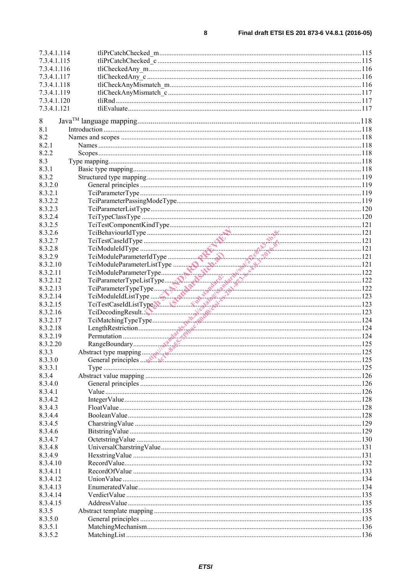$\bf{8}$ 

| 7.3.4.1.114 |                                                                                                                                                                                                                                                |  |
|-------------|------------------------------------------------------------------------------------------------------------------------------------------------------------------------------------------------------------------------------------------------|--|
| 7.3.4.1.115 |                                                                                                                                                                                                                                                |  |
| 7.3.4.1.116 |                                                                                                                                                                                                                                                |  |
|             |                                                                                                                                                                                                                                                |  |
| 7.3.4.1.117 |                                                                                                                                                                                                                                                |  |
| 7.3.4.1.118 |                                                                                                                                                                                                                                                |  |
| 7.3.4.1.119 |                                                                                                                                                                                                                                                |  |
| 7.3.4.1.120 |                                                                                                                                                                                                                                                |  |
|             |                                                                                                                                                                                                                                                |  |
| 7.3.4.1.121 |                                                                                                                                                                                                                                                |  |
| 8           |                                                                                                                                                                                                                                                |  |
|             |                                                                                                                                                                                                                                                |  |
| 8.1         |                                                                                                                                                                                                                                                |  |
| 8.2         |                                                                                                                                                                                                                                                |  |
| 8.2.1       |                                                                                                                                                                                                                                                |  |
| 8.2.2       |                                                                                                                                                                                                                                                |  |
|             |                                                                                                                                                                                                                                                |  |
| 8.3         |                                                                                                                                                                                                                                                |  |
| 8.3.1       |                                                                                                                                                                                                                                                |  |
| 8.3.2       |                                                                                                                                                                                                                                                |  |
| 8.3.2.0     |                                                                                                                                                                                                                                                |  |
| 8.3.2.1     |                                                                                                                                                                                                                                                |  |
|             |                                                                                                                                                                                                                                                |  |
| 8.3.2.2     |                                                                                                                                                                                                                                                |  |
| 8.3.2.3     |                                                                                                                                                                                                                                                |  |
| 8.3.2.4     |                                                                                                                                                                                                                                                |  |
| 8.3.2.5     |                                                                                                                                                                                                                                                |  |
|             |                                                                                                                                                                                                                                                |  |
| 8.3.2.6     | TeiBehaviourldType<br>TeiBehaviourldType<br>TeiModuleIdType<br>TeiModuleParameterIdType<br>TeiModuleParameterIdType<br>TeiModuleParameterIdType                                                                                                |  |
| 8.3.2.7     |                                                                                                                                                                                                                                                |  |
| 8.3.2.8     |                                                                                                                                                                                                                                                |  |
| 8.3.2.9     |                                                                                                                                                                                                                                                |  |
|             |                                                                                                                                                                                                                                                |  |
| 8.3.2.10    |                                                                                                                                                                                                                                                |  |
| 8.3.2.11    |                                                                                                                                                                                                                                                |  |
| 8.3.2.12    |                                                                                                                                                                                                                                                |  |
| 8.3.2.13    |                                                                                                                                                                                                                                                |  |
| 8.3.2.14    |                                                                                                                                                                                                                                                |  |
|             |                                                                                                                                                                                                                                                |  |
| 8.3.2.15    |                                                                                                                                                                                                                                                |  |
| 8.3.2.16    |                                                                                                                                                                                                                                                |  |
| 8.3.2.17    |                                                                                                                                                                                                                                                |  |
| 8.3.2.18    |                                                                                                                                                                                                                                                |  |
|             |                                                                                                                                                                                                                                                |  |
| 8.3.2.19    | TciModuleParameterListType<br>TciModuleParameterListType<br>TciModuleParameterType<br>TciParameterTypeListType<br>TciParameterTypeListType<br>TciParameterTypeListType<br>TciParameterTypeListType<br>TciParameterTypeListType<br>TciParameter |  |
| 8.3.2.20    |                                                                                                                                                                                                                                                |  |
| 8.3.3       |                                                                                                                                                                                                                                                |  |
| 8.3.3.0     | General principles $\mathbb{R}^N$                                                                                                                                                                                                              |  |
| 8.3.3.1     |                                                                                                                                                                                                                                                |  |
|             |                                                                                                                                                                                                                                                |  |
| 8.3.4       |                                                                                                                                                                                                                                                |  |
| 8.3.4.0     |                                                                                                                                                                                                                                                |  |
| 8.3.4.1     |                                                                                                                                                                                                                                                |  |
| 8.3.4.2     |                                                                                                                                                                                                                                                |  |
| 8.3.4.3     |                                                                                                                                                                                                                                                |  |
|             |                                                                                                                                                                                                                                                |  |
| 8.3.4.4     |                                                                                                                                                                                                                                                |  |
| 8.3.4.5     |                                                                                                                                                                                                                                                |  |
| 8.3.4.6     |                                                                                                                                                                                                                                                |  |
| 8.3.4.7     |                                                                                                                                                                                                                                                |  |
|             |                                                                                                                                                                                                                                                |  |
| 8.3.4.8     |                                                                                                                                                                                                                                                |  |
| 8.3.4.9     |                                                                                                                                                                                                                                                |  |
| 8.3.4.10    |                                                                                                                                                                                                                                                |  |
| 8.3.4.11    |                                                                                                                                                                                                                                                |  |
| 8.3.4.12    |                                                                                                                                                                                                                                                |  |
|             |                                                                                                                                                                                                                                                |  |
| 8.3.4.13    |                                                                                                                                                                                                                                                |  |
| 8.3.4.14    |                                                                                                                                                                                                                                                |  |
| 8.3.4.15    |                                                                                                                                                                                                                                                |  |
| 8.3.5       |                                                                                                                                                                                                                                                |  |
| 8.3.5.0     |                                                                                                                                                                                                                                                |  |
|             |                                                                                                                                                                                                                                                |  |
| 8.3.5.1     |                                                                                                                                                                                                                                                |  |
| 8.3.5.2     |                                                                                                                                                                                                                                                |  |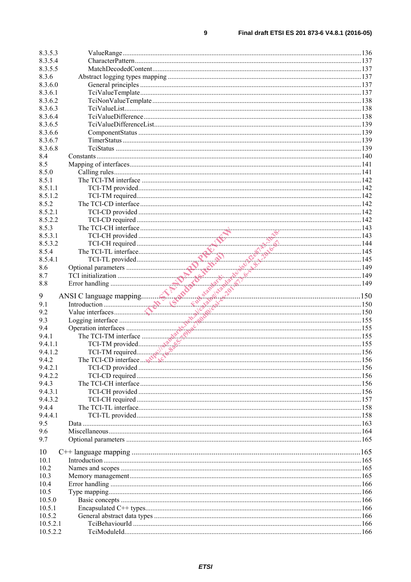| 8.3.5.3              |  |  |
|----------------------|--|--|
| 8.3.5.4              |  |  |
| 8.3.5.5              |  |  |
| 8.3.6                |  |  |
| 8.3.6.0              |  |  |
| 8.3.6.1              |  |  |
| 8.3.6.2              |  |  |
| 8.3.6.3              |  |  |
| 8.3.6.4              |  |  |
| 8.3.6.5              |  |  |
| 8.3.6.6              |  |  |
| 8.3.6.7              |  |  |
| 8.3.6.8              |  |  |
| 8.4                  |  |  |
| 8.5                  |  |  |
| 8.5.0                |  |  |
| 8.5.1                |  |  |
| 8.5.1.1              |  |  |
| 8.5.1.2              |  |  |
| 8.5.2                |  |  |
| 8.5.2.1              |  |  |
| 8.5.2.2              |  |  |
| 8.5.3                |  |  |
| 8.5.3.1              |  |  |
| 8.5.3.2              |  |  |
| 8.5.4                |  |  |
| 8.5.4.1              |  |  |
| 8.6                  |  |  |
|                      |  |  |
| 8.7                  |  |  |
| 8.8                  |  |  |
|                      |  |  |
|                      |  |  |
| 9                    |  |  |
| 9.1                  |  |  |
| 9.2                  |  |  |
| 9.3                  |  |  |
| 9.4                  |  |  |
| 9.4.1                |  |  |
| 9.4.1.1              |  |  |
| 9.4.1.2              |  |  |
| 9.4.2                |  |  |
| 9.4.2.1              |  |  |
| 9.4.2.2              |  |  |
| 9.4.3                |  |  |
| 9.4.3.1              |  |  |
| 9.4.3.2              |  |  |
| 9.4.4                |  |  |
| 9.4.4.1              |  |  |
| 9.5                  |  |  |
| 9.6                  |  |  |
| 9.7                  |  |  |
|                      |  |  |
| 10                   |  |  |
| 10.1                 |  |  |
| 10.2                 |  |  |
| 10.3                 |  |  |
| 10.4                 |  |  |
| 10.5                 |  |  |
| 10.5.0               |  |  |
| 10.5.1               |  |  |
| 10.5.2               |  |  |
| 10.5.2.1<br>10.5.2.2 |  |  |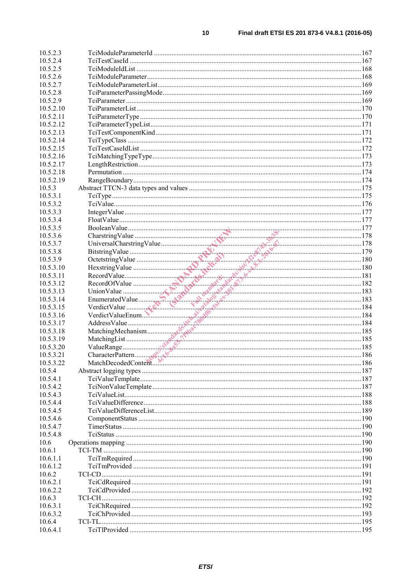| 10.5.2.3              |                                                                                                                                                                                                                                                                                                                                                                                                                                                                                   |  |
|-----------------------|-----------------------------------------------------------------------------------------------------------------------------------------------------------------------------------------------------------------------------------------------------------------------------------------------------------------------------------------------------------------------------------------------------------------------------------------------------------------------------------|--|
| 10.5.2.4              |                                                                                                                                                                                                                                                                                                                                                                                                                                                                                   |  |
| 10.5.2.5              |                                                                                                                                                                                                                                                                                                                                                                                                                                                                                   |  |
| 10.5.2.6              |                                                                                                                                                                                                                                                                                                                                                                                                                                                                                   |  |
| 10.5.2.7              |                                                                                                                                                                                                                                                                                                                                                                                                                                                                                   |  |
| 10.5.2.8              |                                                                                                                                                                                                                                                                                                                                                                                                                                                                                   |  |
| 10.5.2.9              |                                                                                                                                                                                                                                                                                                                                                                                                                                                                                   |  |
| 10.5.2.10             |                                                                                                                                                                                                                                                                                                                                                                                                                                                                                   |  |
| 10.5.2.11             |                                                                                                                                                                                                                                                                                                                                                                                                                                                                                   |  |
| 10.5.2.12             |                                                                                                                                                                                                                                                                                                                                                                                                                                                                                   |  |
| 10.5.2.13             |                                                                                                                                                                                                                                                                                                                                                                                                                                                                                   |  |
| 10.5.2.14             |                                                                                                                                                                                                                                                                                                                                                                                                                                                                                   |  |
| 10.5.2.15             |                                                                                                                                                                                                                                                                                                                                                                                                                                                                                   |  |
| 10.5.2.16             |                                                                                                                                                                                                                                                                                                                                                                                                                                                                                   |  |
| 10.5.2.17             |                                                                                                                                                                                                                                                                                                                                                                                                                                                                                   |  |
| 10.5.2.18             |                                                                                                                                                                                                                                                                                                                                                                                                                                                                                   |  |
| 10.5.2.19             |                                                                                                                                                                                                                                                                                                                                                                                                                                                                                   |  |
| 10.5.3                |                                                                                                                                                                                                                                                                                                                                                                                                                                                                                   |  |
| 10.5.3.1              |                                                                                                                                                                                                                                                                                                                                                                                                                                                                                   |  |
| 10.5.3.2              |                                                                                                                                                                                                                                                                                                                                                                                                                                                                                   |  |
| 10.5.3.3              |                                                                                                                                                                                                                                                                                                                                                                                                                                                                                   |  |
| 10.5.3.4              | $\begin{tabular}{ c c c c } \hline \text{Floal} \text{Nale} & 177 \\ \text{Chearstring Value} & 178 \\ \hline \text{Distring Value} & 178 \\ \text{Bistring Value} & 179 \\ \text{Hestring Value} & 180 \\ \text{RecordValue} & 180 \\ \text{RecordValue} & 181 \\ \text{RecordValue} & 181 \\ \text{ReordofValue} & 182 \\ \text{UnnoValue} & 183 \\ \text{UnnonValue} & 184 \\ \text{Heterical Value} & 184 \\ \text{Adress Value} & 184 \\ \text{AdctesValue} & 184 \\ \text{$ |  |
| 10.5.3.5              |                                                                                                                                                                                                                                                                                                                                                                                                                                                                                   |  |
| 10.5.3.6              |                                                                                                                                                                                                                                                                                                                                                                                                                                                                                   |  |
| 10.5.3.7              |                                                                                                                                                                                                                                                                                                                                                                                                                                                                                   |  |
| 10.5.3.8              |                                                                                                                                                                                                                                                                                                                                                                                                                                                                                   |  |
| 10.5.3.9<br>10.5.3.10 |                                                                                                                                                                                                                                                                                                                                                                                                                                                                                   |  |
| 10.5.3.11             |                                                                                                                                                                                                                                                                                                                                                                                                                                                                                   |  |
| 10.5.3.12             |                                                                                                                                                                                                                                                                                                                                                                                                                                                                                   |  |
| 10.5.3.13             |                                                                                                                                                                                                                                                                                                                                                                                                                                                                                   |  |
| 10.5.3.14             |                                                                                                                                                                                                                                                                                                                                                                                                                                                                                   |  |
| 10.5.3.15             |                                                                                                                                                                                                                                                                                                                                                                                                                                                                                   |  |
| 10.5.3.16             |                                                                                                                                                                                                                                                                                                                                                                                                                                                                                   |  |
| 10.5.3.17             |                                                                                                                                                                                                                                                                                                                                                                                                                                                                                   |  |
| 10.5.3.18             |                                                                                                                                                                                                                                                                                                                                                                                                                                                                                   |  |
| 10.5.3.19             |                                                                                                                                                                                                                                                                                                                                                                                                                                                                                   |  |
| 10.5.3.20             |                                                                                                                                                                                                                                                                                                                                                                                                                                                                                   |  |
| 10.5.3.21             |                                                                                                                                                                                                                                                                                                                                                                                                                                                                                   |  |
| 10.5.3.22             |                                                                                                                                                                                                                                                                                                                                                                                                                                                                                   |  |
| 10.5.4                |                                                                                                                                                                                                                                                                                                                                                                                                                                                                                   |  |
| 10.5.4.1              |                                                                                                                                                                                                                                                                                                                                                                                                                                                                                   |  |
| 10.5.4.2              |                                                                                                                                                                                                                                                                                                                                                                                                                                                                                   |  |
| 10.5.4.3              |                                                                                                                                                                                                                                                                                                                                                                                                                                                                                   |  |
| 10.5.4.4              |                                                                                                                                                                                                                                                                                                                                                                                                                                                                                   |  |
| 10.5.4.5              |                                                                                                                                                                                                                                                                                                                                                                                                                                                                                   |  |
| 10.5.4.6              |                                                                                                                                                                                                                                                                                                                                                                                                                                                                                   |  |
| 10.5.4.7              |                                                                                                                                                                                                                                                                                                                                                                                                                                                                                   |  |
| 10.5.4.8              |                                                                                                                                                                                                                                                                                                                                                                                                                                                                                   |  |
| 10.6                  |                                                                                                                                                                                                                                                                                                                                                                                                                                                                                   |  |
| 10.6.1                |                                                                                                                                                                                                                                                                                                                                                                                                                                                                                   |  |
| 10.6.1.1              |                                                                                                                                                                                                                                                                                                                                                                                                                                                                                   |  |
| 10.6.1.2              |                                                                                                                                                                                                                                                                                                                                                                                                                                                                                   |  |
| 10.6.2                |                                                                                                                                                                                                                                                                                                                                                                                                                                                                                   |  |
| 10.6.2.1              |                                                                                                                                                                                                                                                                                                                                                                                                                                                                                   |  |
| 10.6.2.2              |                                                                                                                                                                                                                                                                                                                                                                                                                                                                                   |  |
| 10.6.3                |                                                                                                                                                                                                                                                                                                                                                                                                                                                                                   |  |
| 10.6.3.1              |                                                                                                                                                                                                                                                                                                                                                                                                                                                                                   |  |
| 10.6.3.2              |                                                                                                                                                                                                                                                                                                                                                                                                                                                                                   |  |
| 10.6.4                |                                                                                                                                                                                                                                                                                                                                                                                                                                                                                   |  |
| 10.6.4.1              |                                                                                                                                                                                                                                                                                                                                                                                                                                                                                   |  |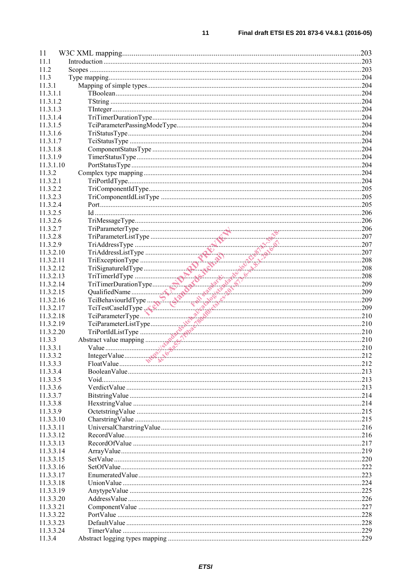| 11                   |              | .203 |
|----------------------|--------------|------|
| 11.1                 |              |      |
| 11.2                 |              |      |
| 11.3                 |              |      |
| 11.3.1               |              |      |
| 11.3.1.1             |              |      |
| 11.3.1.2             |              |      |
| 11.3.1.3             |              |      |
| 11.3.1.4             |              |      |
| 11.3.1.5             |              |      |
| 11.3.1.6             |              |      |
| 11.3.1.7             |              |      |
| 11.3.1.8             |              |      |
| 11.3.1.9             |              |      |
| 11.3.1.10            |              |      |
| 11.3.2               |              |      |
| 11.3.2.1             |              |      |
| 11.3.2.2             |              |      |
| 11.3.2.3             |              |      |
| 11.3.2.4             |              |      |
| 11.3.2.5             |              |      |
| 11.3.2.6             |              |      |
| 11.3.2.7             |              |      |
| 11.3.2.8             |              |      |
| 11.3.2.9             |              |      |
| 11.3.2.10            |              |      |
| 11.3.2.11            |              |      |
| 11.3.2.12            |              |      |
| 11.3.2.13            |              |      |
| 11.3.2.14            |              |      |
| 11.3.2.15            |              |      |
| 11.3.2.16            |              |      |
| 11.3.2.17            |              |      |
| 11.3.2.18            |              |      |
| 11.3.2.19            |              |      |
| 11.3.2.20            |              |      |
| 11.3.3               |              |      |
| 11.3.3.1             |              |      |
| 11.3.3.2             | IntegerValue | 212  |
| 11.3.3.3             |              |      |
| 11.3.3.4             |              |      |
| 11.3.3.5             |              |      |
| 11.3.3.6             |              |      |
| 11.3.3.7<br>11.3.3.8 |              |      |
| 11.3.3.9             |              |      |
| 11.3.3.10            |              |      |
| 11.3.3.11            |              |      |
| 11.3.3.12            |              |      |
| 11.3.3.13            |              |      |
| 11.3.3.14            |              |      |
| 11.3.3.15            |              |      |
| 11.3.3.16            |              |      |
| 11.3.3.17            |              |      |
| 11.3.3.18            |              |      |
| 11.3.3.19            |              |      |
| 11.3.3.20            |              |      |
| 11.3.3.21            |              |      |
| 11.3.3.22            |              |      |
| 11.3.3.23            |              |      |
| 11.3.3.24            |              |      |
| 11.3.4               |              |      |
|                      |              |      |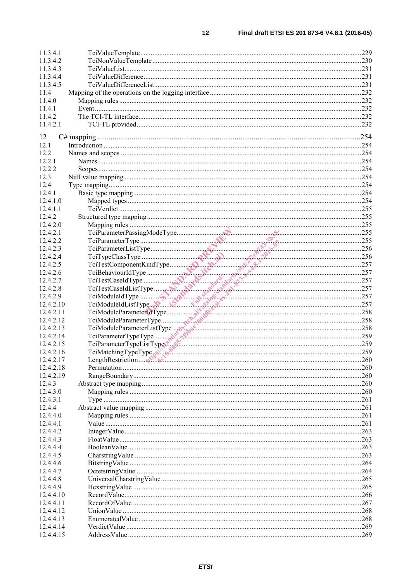| 11.3.4.1  |                                                                                |      |
|-----------|--------------------------------------------------------------------------------|------|
| 11.3.4.2  |                                                                                |      |
| 11.3.4.3  |                                                                                |      |
| 11.3.4.4  |                                                                                |      |
| 11.3.4.5  |                                                                                |      |
| 11.4      |                                                                                |      |
| 11.4.0    |                                                                                |      |
| 11.4.1    |                                                                                |      |
| 11.4.2    |                                                                                |      |
| 11.4.2.1  |                                                                                |      |
|           |                                                                                |      |
| 12        |                                                                                |      |
| 12.1      |                                                                                |      |
| 12.2      |                                                                                |      |
| 12.2.1    |                                                                                |      |
| 12.2.2    |                                                                                |      |
| 12.3      |                                                                                |      |
| 12.4      |                                                                                |      |
| 12.4.1    |                                                                                |      |
| 12.4.1.0  |                                                                                |      |
| 12.4.1.1  |                                                                                |      |
|           |                                                                                |      |
| 12.4.2    |                                                                                |      |
| 12.4.2.0  |                                                                                |      |
| 12.4.2.1  |                                                                                |      |
| 12.4.2.2  |                                                                                |      |
| 12.4.2.3  |                                                                                |      |
| 12.4.2.4  |                                                                                |      |
| 12.4.2.5  |                                                                                |      |
| 12.4.2.6  |                                                                                |      |
| 12.4.2.7  |                                                                                |      |
| 12.4.2.8  |                                                                                |      |
| 12.4.2.9  |                                                                                |      |
| 12.4.2.10 |                                                                                |      |
| 12.4.2.11 |                                                                                |      |
| 12.4.2.12 |                                                                                |      |
| 12.4.2.13 |                                                                                |      |
| 12.4.2.14 | TeiModuleParameterListType<br>TeiParameterTypeType<br>TeiParameterTypeListType |      |
| 12.4.2.15 |                                                                                |      |
| 12.4.2.16 | TciMatchingTypeType                                                            |      |
| 12.4.2.17 |                                                                                | .260 |
| 12.4.2.18 |                                                                                |      |
| 12.4.2.19 |                                                                                | 260  |
| 12.4.3    |                                                                                |      |
| 12.4.3.0  |                                                                                |      |
| 12.4.3.1  |                                                                                |      |
| 12.4.4    |                                                                                |      |
| 12.4.4.0  |                                                                                |      |
| 12.4.4.1  |                                                                                |      |
| 12.4.4.2  |                                                                                |      |
| 12.4.4.3  |                                                                                |      |
|           |                                                                                |      |
| 12.4.4.4  |                                                                                |      |
| 12.4.4.5  |                                                                                |      |
| 12.4.4.6  |                                                                                |      |
| 12.4.4.7  |                                                                                |      |
| 12.4.4.8  |                                                                                |      |
| 12.4.4.9  |                                                                                |      |
| 12.4.4.10 |                                                                                |      |
| 12.4.4.11 |                                                                                |      |
| 12.4.4.12 |                                                                                | 268  |
| 12.4.4.13 |                                                                                |      |
| 12.4.4.14 |                                                                                |      |
| 12.4.4.15 |                                                                                |      |